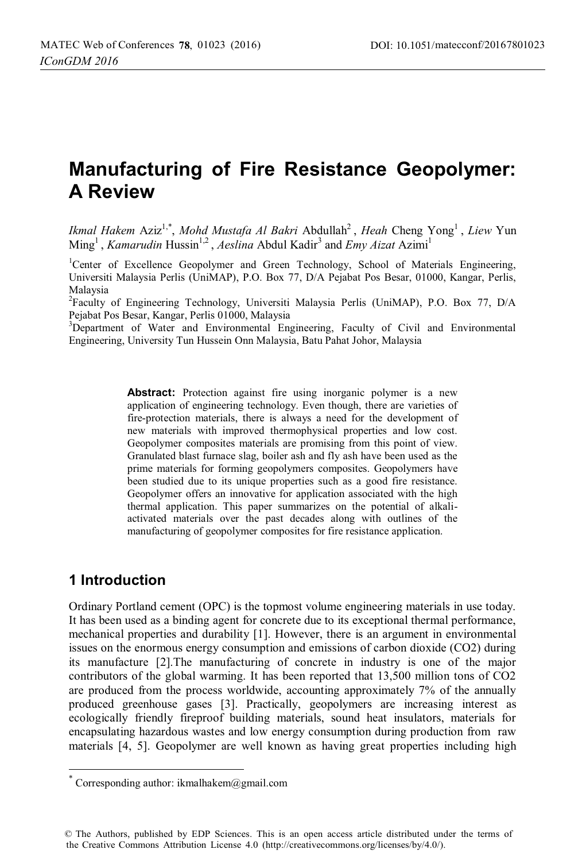# **Manufacturing of Fire Resistance Geopolymer: A Review**

*Ikmal Hakem* Aziz<sup>1,\*</sup>, *Mohd Mustafa Al Bakri* Abdullah<sup>2</sup>, *Heah* Cheng Yong<sup>1</sup>, *Liew* Yun Ming<sup>1</sup>, *Kamarudin* Hussin<sup>1,2</sup>, *Aeslina* Abdul Kadir<sup>3</sup> and *Emy Aizat* Azimi<sup>1</sup>

<sup>1</sup>Center of Excellence Geopolymer and Green Technology, School of Materials Engineering, Universiti Malaysia Perlis (UniMAP), P.O. Box 77, D/A Pejabat Pos Besar, 01000, Kangar, Perlis, Malaysia

<sup>2</sup>Faculty of Engineering Technology, Universiti Malaysia Perlis (UniMAP), P.O. Box 77, D/A Pejabat Pos Besar, Kangar, Perlis 01000, Malaysia

<sup>3</sup>Department of Water and Environmental Engineering, Faculty of Civil and Environmental Engineering, University Tun Hussein Onn Malaysia, Batu Pahat Johor, Malaysia

> **Abstract:** Protection against fire using inorganic polymer is a new application of engineering technology. Even though, there are varieties of fire-protection materials, there is always a need for the development of new materials with improved thermophysical properties and low cost. Geopolymer composites materials are promising from this point of view. Granulated blast furnace slag, boiler ash and fly ash have been used as the prime materials for forming geopolymers composites. Geopolymers have been studied due to its unique properties such as a good fire resistance. Geopolymer offers an innovative for application associated with the high thermal application. This paper summarizes on the potential of alkaliactivated materials over the past decades along with outlines of the manufacturing of geopolymer composites for fire resistance application.

## **1 Introduction**

 $\overline{\phantom{a}}$ 

Ordinary Portland cement (OPC) is the topmost volume engineering materials in use today. It has been used as a binding agent for concrete due to its exceptional thermal performance, mechanical properties and durability [1]. However, there is an argument in environmental issues on the enormous energy consumption and emissions of carbon dioxide (CO2) during its manufacture [2].The manufacturing of concrete in industry is one of the major contributors of the global warming. It has been reported that 13,500 million tons of CO2 are produced from the process worldwide, accounting approximately 7% of the annually produced greenhouse gases [3]. Practically, geopolymers are increasing interest as ecologically friendly fireproof building materials, sound heat insulators, materials for encapsulating hazardous wastes and low energy consumption during production from raw materials [4, 5]. Geopolymer are well known as having great properties including high

Corresponding author: ikmalhakem@gmail.com

<sup>©</sup> The Authors, published by EDP Sciences. This is an open access article distributed under the terms of the Creative Commons Attribution License 4.0 (http://creativecommons.org/licenses/by/4.0/).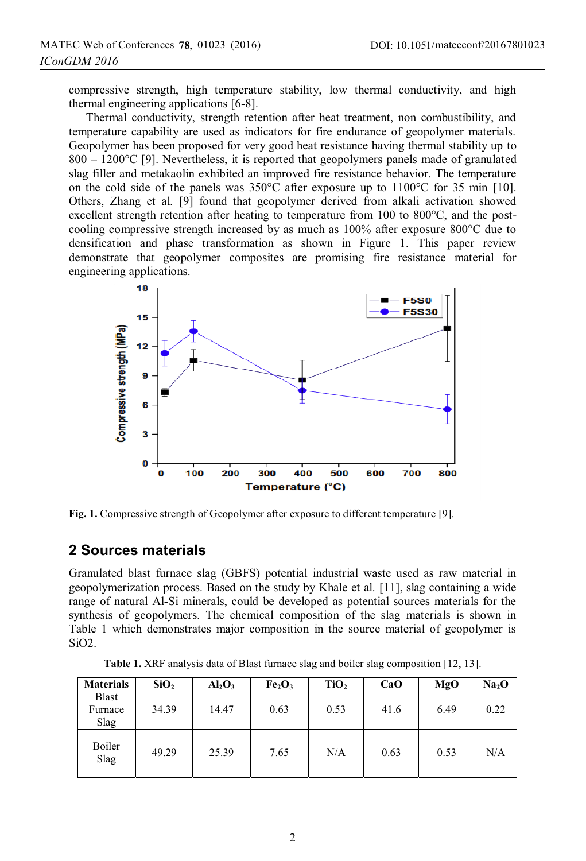compressive strength, high temperature stability, low thermal conductivity, and high thermal engineering applications [6-8].

Thermal conductivity, strength retention after heat treatment, non combustibility, and temperature capability are used as indicators for fire endurance of geopolymer materials. Geopolymer has been proposed for very good heat resistance having thermal stability up to 800 – 1200°C [9]. Nevertheless, it is reported that geopolymers panels made of granulated slag filler and metakaolin exhibited an improved fire resistance behavior. The temperature on the cold side of the panels was  $350^{\circ}$ C after exposure up to  $1100^{\circ}$ C for 35 min [10]. Others, Zhang et al. [9] found that geopolymer derived from alkali activation showed excellent strength retention after heating to temperature from 100 to 800°C, and the postcooling compressive strength increased by as much as 100% after exposure 800°C due to densification and phase transformation as shown in Figure 1. This paper review demonstrate that geopolymer composites are promising fire resistance material for engineering applications.



Fig. 1. Compressive strength of Geopolymer after exposure to different temperature [9].

## **2 Sources materials**

Granulated blast furnace slag (GBFS) potential industrial waste used as raw material in geopolymerization process. Based on the study by Khale et al. [11], slag containing a wide range of natural Al-Si minerals, could be developed as potential sources materials for the synthesis of geopolymers. The chemical composition of the slag materials is shown in Table 1 which demonstrates major composition in the source material of geopolymer is SiO2.

**Table 1.** XRF analysis data of Blast furnace slag and boiler slag composition [12, 13].

| <b>Materials</b>         | SiO <sub>2</sub> | $Al_2O_3$ | Fe <sub>2</sub> O <sub>3</sub> | TiO, | CaO  | MgO  | Na <sub>2</sub> O |
|--------------------------|------------------|-----------|--------------------------------|------|------|------|-------------------|
| Blast<br>Furnace<br>Slag | 34.39            | 14.47     | 0.63                           | 0.53 | 41.6 | 6.49 | 0.22              |
| Boiler<br>Slag           | 49.29            | 25.39     | 7.65                           | N/A  | 0.63 | 0.53 | N/A               |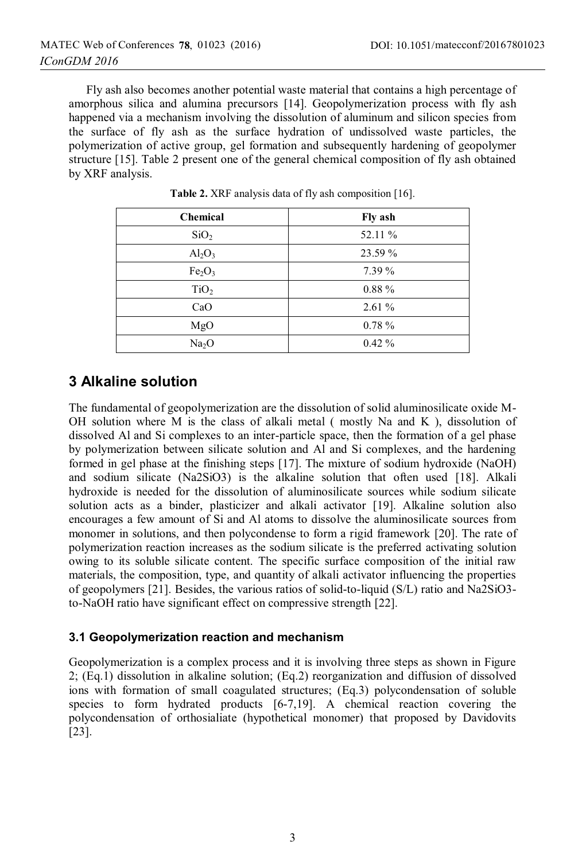Fly ash also becomes another potential waste material that contains a high percentage of amorphous silica and alumina precursors [14]. Geopolymerization process with fly ash happened via a mechanism involving the dissolution of aluminum and silicon species from the surface of fly ash as the surface hydration of undissolved waste particles, the polymerization of active group, gel formation and subsequently hardening of geopolymer structure [15]. Table 2 present one of the general chemical composition of fly ash obtained by XRF analysis.

| <b>Chemical</b>                | Fly ash  |
|--------------------------------|----------|
| SiO <sub>2</sub>               | 52.11 %  |
| Al <sub>2</sub> O <sub>3</sub> | 23.59 %  |
| Fe <sub>2</sub> O <sub>3</sub> | $7.39\%$ |
| TiO <sub>2</sub>               | $0.88\%$ |
| CaO                            | $2.61\%$ |
| MgO                            | $0.78\%$ |
| Na <sub>2</sub> O              | $0.42\%$ |

**Table 2.** XRF analysis data of fly ash composition [16].

# **3 Alkaline solution**

The fundamental of geopolymerization are the dissolution of solid aluminosilicate oxide M-OH solution where M is the class of alkali metal (mostly Na and K), dissolution of dissolved Al and Si complexes to an inter-particle space, then the formation of a gel phase by polymerization between silicate solution and Al and Si complexes, and the hardening formed in gel phase at the finishing steps [17]. The mixture of sodium hydroxide (NaOH) and sodium silicate (Na2SiO3) is the alkaline solution that often used [18]. Alkali hydroxide is needed for the dissolution of aluminosilicate sources while sodium silicate solution acts as a binder, plasticizer and alkali activator [19]. Alkaline solution also encourages a few amount of Si and Al atoms to dissolve the aluminosilicate sources from monomer in solutions, and then polycondense to form a rigid framework [20]. The rate of polymerization reaction increases as the sodium silicate is the preferred activating solution owing to its soluble silicate content. The specific surface composition of the initial raw materials, the composition, type, and quantity of alkali activator influencing the properties of geopolymers [21]. Besides, the various ratios of solid-to-liquid (S/L) ratio and Na2SiO3 to-NaOH ratio have significant effect on compressive strength [22].

### **3.1 Geopolymerization reaction and mechanism**

Geopolymerization is a complex process and it is involving three steps as shown in Figure 2; (Eq.1) dissolution in alkaline solution; (Eq.2) reorganization and diffusion of dissolved ions with formation of small coagulated structures; (Eq.3) polycondensation of soluble species to form hydrated products [6-7,19]. A chemical reaction covering the polycondensation of orthosialiate (hypothetical monomer) that proposed by Davidovits [23].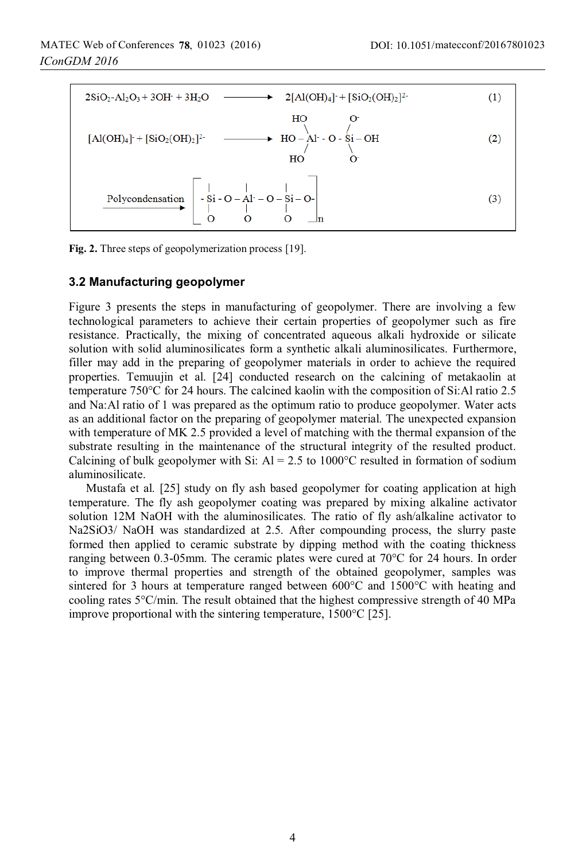



#### **3.2 Manufacturing geopolymer**

Figure 3 presents the steps in manufacturing of geopolymer. There are involving a few technological parameters to achieve their certain properties of geopolymer such as fire resistance. Practically, the mixing of concentrated aqueous alkali hydroxide or silicate solution with solid aluminosilicates form a synthetic alkali aluminosilicates. Furthermore, filler may add in the preparing of geopolymer materials in order to achieve the required properties. Temuujin et al. [24] conducted research on the calcining of metakaolin at temperature 750°C for 24 hours. The calcined kaolin with the composition of Si:Al ratio 2.5 and Na:Al ratio of 1 was prepared as the optimum ratio to produce geopolymer. Water acts as an additional factor on the preparing of geopolymer material. The unexpected expansion with temperature of MK 2.5 provided a level of matching with the thermal expansion of the substrate resulting in the maintenance of the structural integrity of the resulted product. Calcining of bulk geopolymer with Si:  $Al = 2.5$  to 1000°C resulted in formation of sodium aluminosilicate.

Mustafa et al. [25] study on fly ash based geopolymer for coating application at high temperature. The fly ash geopolymer coating was prepared by mixing alkaline activator solution 12M NaOH with the aluminosilicates. The ratio of fly ash/alkaline activator to Na2SiO3/ NaOH was standardized at 2.5. After compounding process, the slurry paste formed then applied to ceramic substrate by dipping method with the coating thickness ranging between 0.3-05mm. The ceramic plates were cured at 70°C for 24 hours. In order to improve thermal properties and strength of the obtained geopolymer, samples was sintered for 3 hours at temperature ranged between 600°C and 1500°C with heating and cooling rates 5°C/min. The result obtained that the highest compressive strength of 40 MPa improve proportional with the sintering temperature, 1500°C [25].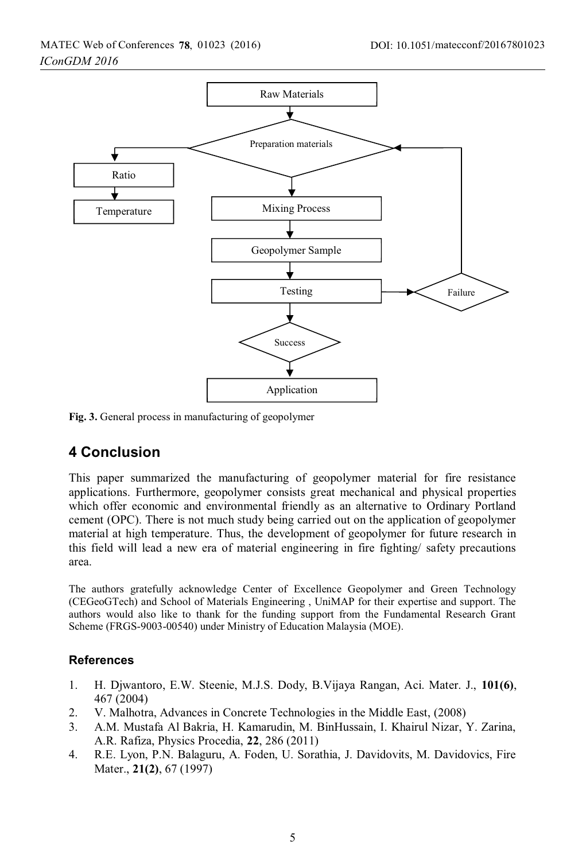

**Fig. 3.** General process in manufacturing of geopolymer

## **4 Conclusion**

This paper summarized the manufacturing of geopolymer material for fire resistance applications. Furthermore, geopolymer consists great mechanical and physical properties which offer economic and environmental friendly as an alternative to Ordinary Portland cement (OPC). There is not much study being carried out on the application of geopolymer material at high temperature. Thus, the development of geopolymer for future research in this field will lead a new era of material engineering in fire fighting/ safety precautions area.

The authors gratefully acknowledge Center of Excellence Geopolymer and Green Technology (CEGeoGTech) and School of Materials Engineering , UniMAP for their expertise and support. The authors would also like to thank for the funding support from the Fundamental Research Grant Scheme (FRGS-9003-00540) under Ministry of Education Malaysia (MOE).

#### **References**

- 1. H. Djwantoro, E.W. Steenie, M.J.S. Dody, B.Vijaya Rangan, Aci. Mater. J., **101(6)**, 467 (2004)
- 2. V. Malhotra, Advances in Concrete Technologies in the Middle East, (2008)
- 3. A.M. Mustafa Al Bakria, H. Kamarudin, M. BinHussain, I. Khairul Nizar, Y. Zarina, A.R. Rafiza, Physics Procedia, **22**, 286 (2011)
- 4. R.E. Lyon, P.N. Balaguru, A. Foden, U. Sorathia, J. Davidovits, M. Davidovics, Fire Mater., **21(2)**, 67 (1997)